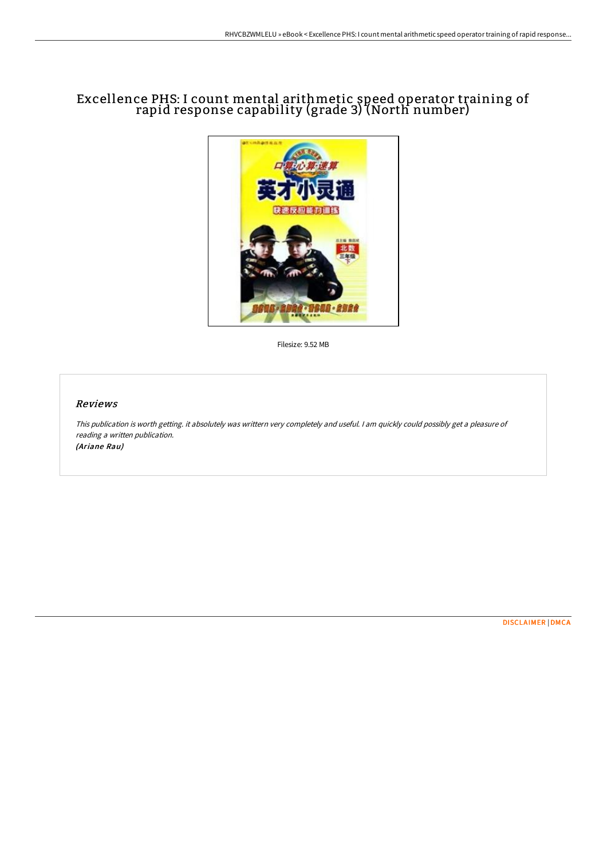# Excellence PHS: I count mental arithmetic speed operator training of rapid response capability (grade 3) (North number)



Filesize: 9.52 MB

### Reviews

This publication is worth getting. it absolutely was writtern very completely and useful. <sup>I</sup> am quickly could possibly get <sup>a</sup> pleasure of reading <sup>a</sup> written publication. (Ariane Rau)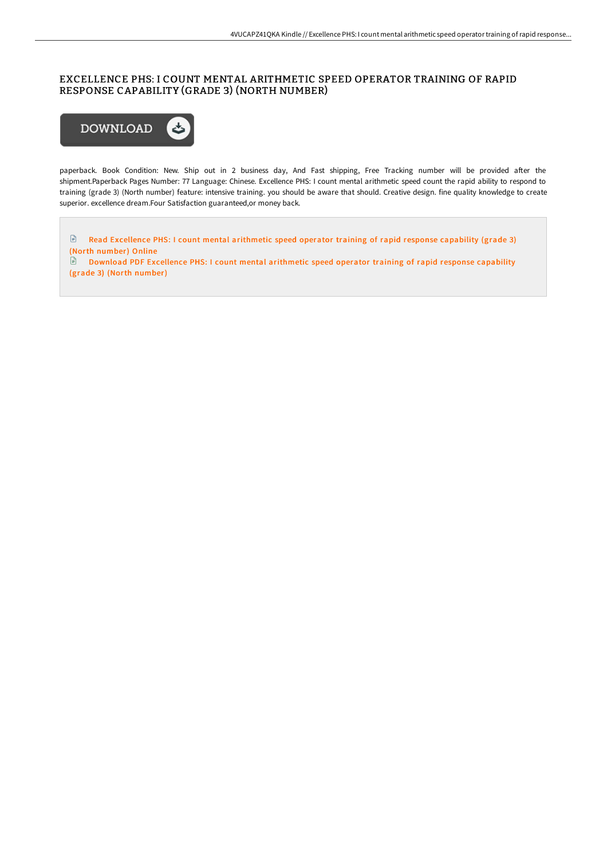# EXCELLENCE PHS: I COUNT MENTAL ARITHMETIC SPEED OPERATOR TRAINING OF RAPID RESPONSE CAPABILITY (GRADE 3) (NORTH NUMBER)



paperback. Book Condition: New. Ship out in 2 business day, And Fast shipping, Free Tracking number will be provided after the shipment.Paperback Pages Number: 77 Language: Chinese. Excellence PHS: I count mental arithmetic speed count the rapid ability to respond to training (grade 3) (North number) feature: intensive training. you should be aware that should. Creative design. fine quality knowledge to create superior. excellence dream.Four Satisfaction guaranteed,or money back.

Read [Excellence](http://techno-pub.tech/excellence-phs-i-count-mental-arithmetic-speed-o.html) PHS: I count mental arithmetic speed operator training of rapid response capability (grade 3) (North number) Online

Download PDF [Excellence](http://techno-pub.tech/excellence-phs-i-count-mental-arithmetic-speed-o.html) PHS: I count mental arithmetic speed operator training of rapid response capability (grade 3) (North number)